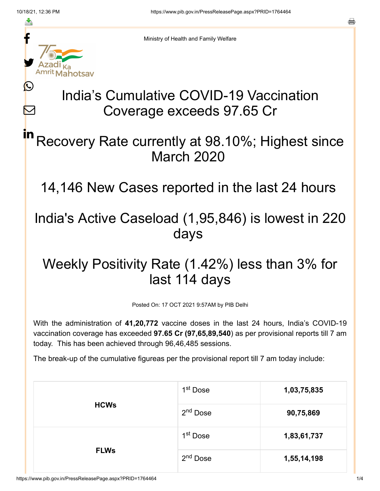≛

Ŀ

 $\bm{\nabla}$ 

Ministry of Health and Family Welfare

# India's Cumulative COVID-19 Vaccination Coverage exceeds 97.65 Cr

### Recovery Rate currently at 98.10%; Highest since March 2020 in

14,146 New Cases reported in the last 24 hours

### India's Active Caseload (1,95,846) is lowest in 220 days

## Weekly Positivity Rate (1.42%) less than 3% for last 114 days

Posted On: 17 OCT 2021 9:57AM by PIB Delhi

With the administration of **41,20,772** vaccine doses in the last 24 hours, India's COVID-19 vaccination coverage has exceeded **97.65 Cr (97,65,89,540**) as per provisional reports till 7 am today. This has been achieved through 96,46,485 sessions.

The break-up of the cumulative figureas per the provisional report till 7 am today include:

| <b>HCWs</b> | 1 <sup>st</sup> Dose | 1,03,75,835 |
|-------------|----------------------|-------------|
|             | 2 <sup>nd</sup> Dose | 90,75,869   |
| <b>FLWs</b> | 1 <sup>st</sup> Dose | 1,83,61,737 |
|             | 2 <sup>nd</sup> Dose | 1,55,14,198 |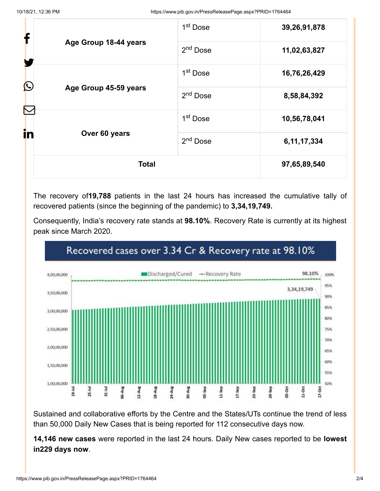|                       | <b>Total</b>                        |                      | 97,65,89,540   |
|-----------------------|-------------------------------------|----------------------|----------------|
| in                    | Over 60 years                       | 2 <sup>nd</sup> Dose | 6, 11, 17, 334 |
|                       | 1 <sup>st</sup> Dose                | 10,56,78,041         |                |
|                       | $\bigcirc$<br>Age Group 45-59 years | 2 <sup>nd</sup> Dose | 8,58,84,392    |
|                       |                                     | 1 <sup>st</sup> Dose | 16,76,26,429   |
| Age Group 18-44 years | 2 <sup>nd</sup> Dose                | 11,02,63,827         |                |
| f                     |                                     | 1 <sup>st</sup> Dose | 39,26,91,878   |

The recovery of**19,788** patients in the last 24 hours has increased the cumulative tally of recovered patients (since the beginning of the pandemic) to **3,34,19,749.**

Consequently, India's recovery rate stands at **98.10%**. Recovery Rate is currently at its highest peak since March 2020.



#### Recovered cases over 3.34 Cr & Recovery rate at 98.10%

Sustained and collaborative efforts by the Centre and the States/UTs continue the trend of less than 50,000 Daily New Cases that is being reported for 112 consecutive days now.

**14,146 new cases** were reported in the last 24 hours. Daily New cases reported to be **lowest in229 days now**.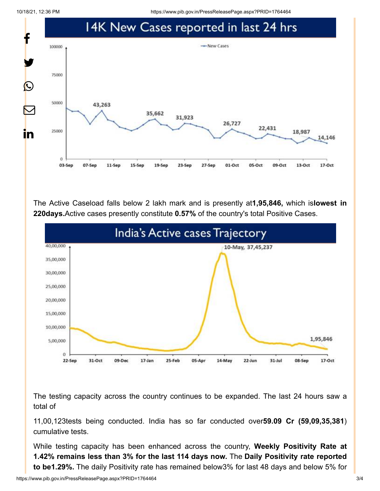10/18/21, 12:36 PM https://www.pib.gov.in/PressReleasePage.aspx?PRID=1764464



The Active Caseload falls below 2 lakh mark and is presently at**1,95,846,** which is**lowest in 220days.**Active cases presently constitute **0.57%** of the country's total Positive Cases.



The testing capacity across the country continues to be expanded. The last 24 hours saw a total of

11,00,123tests being conducted. India has so far conducted over**59.09 Cr (59,09,35,381**) cumulative tests.

While testing capacity has been enhanced across the country, **Weekly Positivity Rate at 1.42% remains less than 3% for the last 114 days now.** The **Daily Positivity rate reported to be1.29%.** The daily Positivity rate has remained below3% for last 48 days and below 5% for